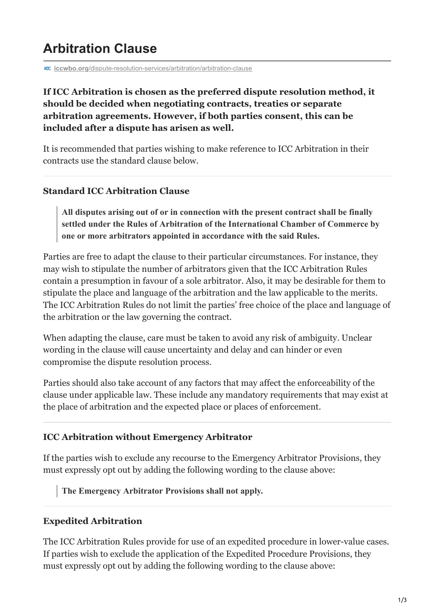# **Arbitration Clause**

**iccwbo.org[/dispute-resolution-services/arbitration/arbitration-clause](https://iccwbo.org/dispute-resolution-services/arbitration/arbitration-clause/)** 

## **If ICC Arbitration is chosen as the preferred dispute resolution method, it should be decided when negotiating contracts, treaties or separate arbitration agreements. However, if both parties consent, this can be included after a dispute has arisen as well.**

It is recommended that parties wishing to make reference to ICC Arbitration in their contracts use the standard clause below.

#### **Standard ICC Arbitration Clause**

**All disputes arising out of or in connection with the present contract shall be finally settled under the Rules of Arbitration of the International Chamber of Commerce by one or more arbitrators appointed in accordance with the said Rules.**

Parties are free to adapt the clause to their particular circumstances. For instance, they may wish to stipulate the number of arbitrators given that the ICC Arbitration Rules contain a presumption in favour of a sole arbitrator. Also, it may be desirable for them to stipulate the place and language of the arbitration and the law applicable to the merits. The ICC Arbitration Rules do not limit the parties' free choice of the place and language of the arbitration or the law governing the contract.

When adapting the clause, care must be taken to avoid any risk of ambiguity. Unclear wording in the clause will cause uncertainty and delay and can hinder or even compromise the dispute resolution process.

Parties should also take account of any factors that may affect the enforceability of the clause under applicable law. These include any mandatory requirements that may exist at the place of arbitration and the expected place or places of enforcement.

#### **ICC Arbitration without Emergency Arbitrator**

If the parties wish to exclude any recourse to the Emergency Arbitrator Provisions, they must expressly opt out by adding the following wording to the clause above:

**The Emergency Arbitrator Provisions shall not apply.**

#### **Expedited Arbitration**

The ICC Arbitration Rules provide for use of an expedited procedure in lower-value cases. If parties wish to exclude the application of the Expedited Procedure Provisions, they must expressly opt out by adding the following wording to the clause above: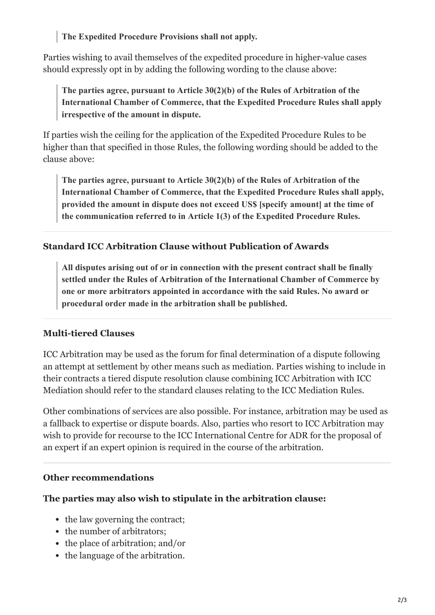**The Expedited Procedure Provisions shall not apply.**

Parties wishing to avail themselves of the expedited procedure in higher-value cases should expressly opt in by adding the following wording to the clause above:

**The parties agree, pursuant to Article 30(2)(b) of the Rules of Arbitration of the International Chamber of Commerce, that the Expedited Procedure Rules shall apply irrespective of the amount in dispute.**

If parties wish the ceiling for the application of the Expedited Procedure Rules to be higher than that specified in those Rules, the following wording should be added to the clause above:

**The parties agree, pursuant to Article 30(2)(b) of the Rules of Arbitration of the International Chamber of Commerce, that the Expedited Procedure Rules shall apply, provided the amount in dispute does not exceed US\$ [specify amount] at the time of the communication referred to in Article 1(3) of the Expedited Procedure Rules.**

## **Standard ICC Arbitration Clause without Publication of Awards**

**All disputes arising out of or in connection with the present contract shall be finally settled under the Rules of Arbitration of the International Chamber of Commerce by one or more arbitrators appointed in accordance with the said Rules. No award or procedural order made in the arbitration shall be published.**

## **Multi-tiered Clauses**

ICC Arbitration may be used as the forum for final determination of a dispute following an attempt at settlement by other means such as mediation. Parties wishing to include in their contracts a tiered dispute resolution clause combining ICC Arbitration with ICC Mediation should refer to the standard clauses relating to the ICC Mediation Rules.

Other combinations of services are also possible. For instance, arbitration may be used as a fallback to expertise or dispute boards. Also, parties who resort to ICC Arbitration may wish to provide for recourse to the ICC International Centre for ADR for the proposal of an expert if an expert opinion is required in the course of the arbitration.

## **Other recommendations**

## **The parties may also wish to stipulate in the arbitration clause:**

- the law governing the contract;
- the number of arbitrators;
- the place of arbitration; and/or
- the language of the arbitration.